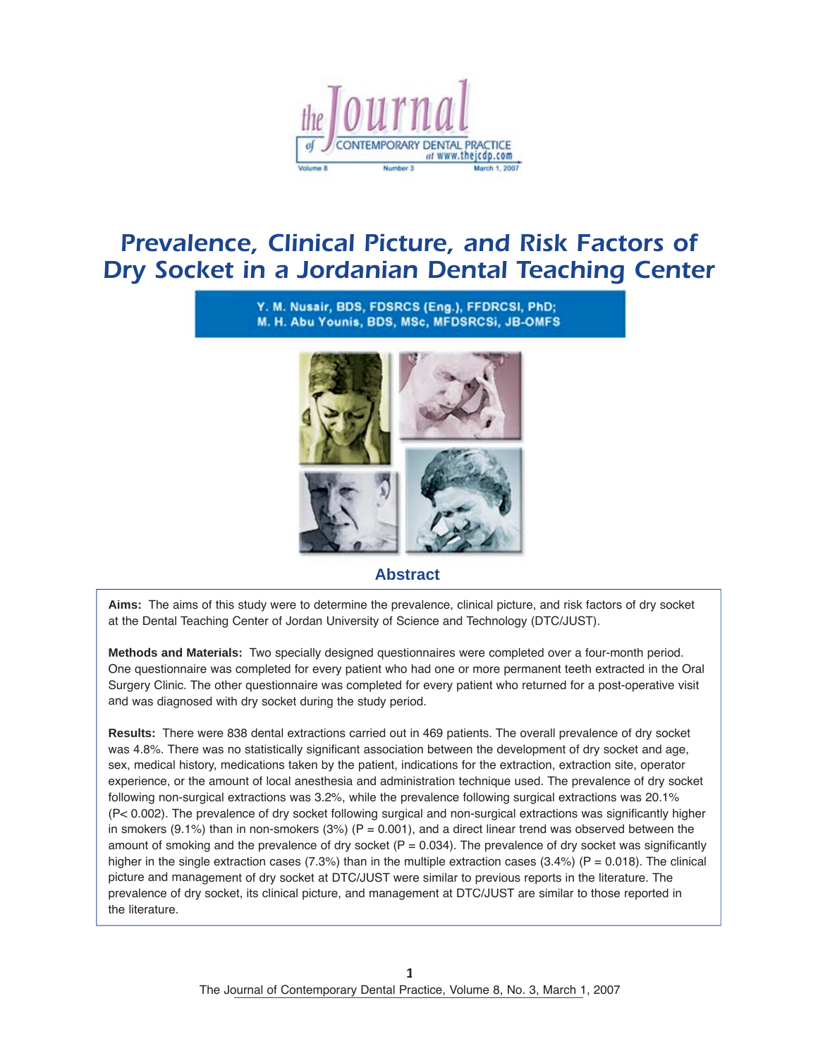

# *Prevalence, Clinical Picture, and Risk Factors of Dry Socket in a Jordanian Dental Teaching Center*

Y. M. Nusair, BDS, FDSRCS (Eng.), FFDRCSI, PhD; M. H. Abu Younis, BDS, MSc, MFDSRCSi, JB-OMFS



**Abstract**

**Aims:** The aims of this study were to determine the prevalence, clinical picture, and risk factors of dry socket at the Dental Teaching Center of Jordan University of Science and Technology (DTC/JUST).

**Methods and Materials:** Two specially designed questionnaires were completed over a four-month period. One questionnaire was completed for every patient who had one or more permanent teeth extracted in the Oral Surgery Clinic. The other questionnaire was completed for every patient who returned for a post-operative visit and was diagnosed with dry socket during the study period.

**Results:** There were 838 dental extractions carried out in 469 patients. The overall prevalence of dry socket was 4.8%. There was no statistically significant association between the development of dry socket and age, sex, medical history, medications taken by the patient, indications for the extraction, extraction site, operator experience, or the amount of local anesthesia and administration technique used. The prevalence of dry socket following non-surgical extractions was 3.2%, while the prevalence following surgical extractions was 20.1% (P< 0.002). The prevalence of dry socket following surgical and non-surgical extractions was significantly higher in smokers (9.1%) than in non-smokers (3%) ( $P = 0.001$ ), and a direct linear trend was observed between the amount of smoking and the prevalence of dry socket  $(P = 0.034)$ . The prevalence of dry socket was significantly higher in the single extraction cases (7.3%) than in the multiple extraction cases (3.4%) ( $P = 0.018$ ). The clinical picture and management of dry socket at DTC/JUST were similar to previous reports in the literature. The prevalence of dry socket, its clinical picture, and management at DTC/JUST are similar to those reported in the literature.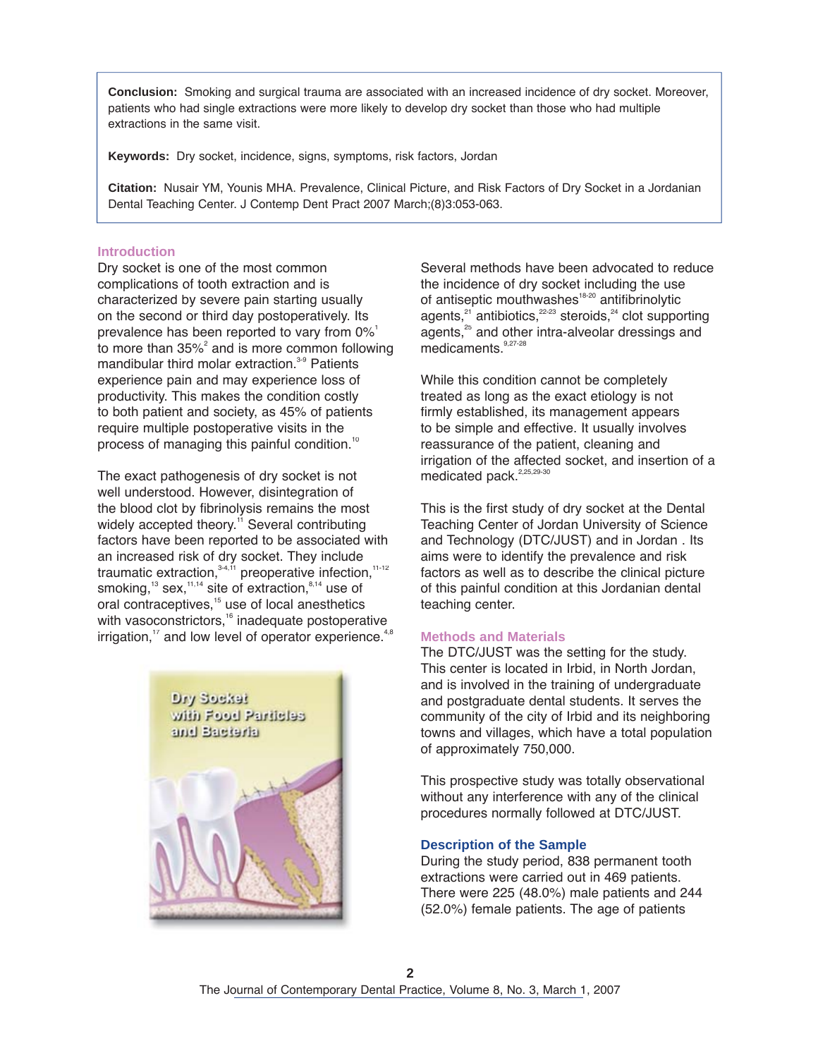**Conclusion:** Smoking and surgical trauma are associated with an increased incidence of dry socket. Moreover, patients who had single extractions were more likely to develop dry socket than those who had multiple extractions in the same visit.

**Keywords:** Dry socket, incidence, signs, symptoms, risk factors, Jordan

**Citation:** Nusair YM, Younis MHA. Prevalence, Clinical Picture, and Risk Factors of Dry Socket in a Jordanian Dental Teaching Center. J Contemp Dent Pract 2007 March;(8)3:053-063.

#### **Introduction**

Dry socket is one of the most common complications of tooth extraction and is characterized by severe pain starting usually on the second or third day postoperatively. Its prevalence has been reported to vary from 0%<sup>1</sup> to more than  $35\%^2$  and is more common following mandibular third molar extraction.<sup>3-9</sup> Patients experience pain and may experience loss of productivity. This makes the condition costly to both patient and society, as 45% of patients require multiple postoperative visits in the process of managing this painful condition.<sup>10</sup>

The exact pathogenesis of dry socket is not well understood. However, disintegration of the blood clot by fibrinolysis remains the most widely accepted theory.<sup>11</sup> Several contributing factors have been reported to be associated with an increased risk of dry socket. They include traumatic extraction,<sup>3-4,11</sup> preoperative infection,<sup>11-12</sup> smoking,<sup>13</sup> sex,<sup>11,14</sup> site of extraction,<sup>8,14</sup> use of oral contraceptives,<sup>15</sup> use of local anesthetics with vasoconstrictors,<sup>16</sup> inadequate postoperative irrigation,<sup>17</sup> and low level of operator experience.<sup>4,8</sup>



Several methods have been advocated to reduce the incidence of dry socket including the use of antiseptic mouthwashes<sup>18-20</sup> antifibrinolytic agents,<sup>21</sup> antibiotics,<sup>22-23</sup> steroids,<sup>24</sup> clot supporting agents,<sup>25</sup> and other intra-alveolar dressings and medicaments. 9,27-28

While this condition cannot be completely treated as long as the exact etiology is not firmly established, its management appears to be simple and effective. It usually involves reassurance of the patient, cleaning and irrigation of the affected socket, and insertion of a medicated pack.<sup>2,25,29-30</sup>

This is the first study of dry socket at the Dental Teaching Center of Jordan University of Science and Technology (DTC/JUST) and in Jordan . Its aims were to identify the prevalence and risk factors as well as to describe the clinical picture of this painful condition at this Jordanian dental teaching center.

#### **Methods and Materials**

The DTC/JUST was the setting for the study. This center is located in Irbid, in North Jordan, and is involved in the training of undergraduate and postgraduate dental students. It serves the community of the city of Irbid and its neighboring towns and villages, which have a total population of approximately 750,000.

This prospective study was totally observational without any interference with any of the clinical procedures normally followed at DTC/JUST.

#### **Description of the Sample**

During the study period, 838 permanent tooth extractions were carried out in 469 patients. There were 225 (48.0%) male patients and 244 (52.0%) female patients. The age of patients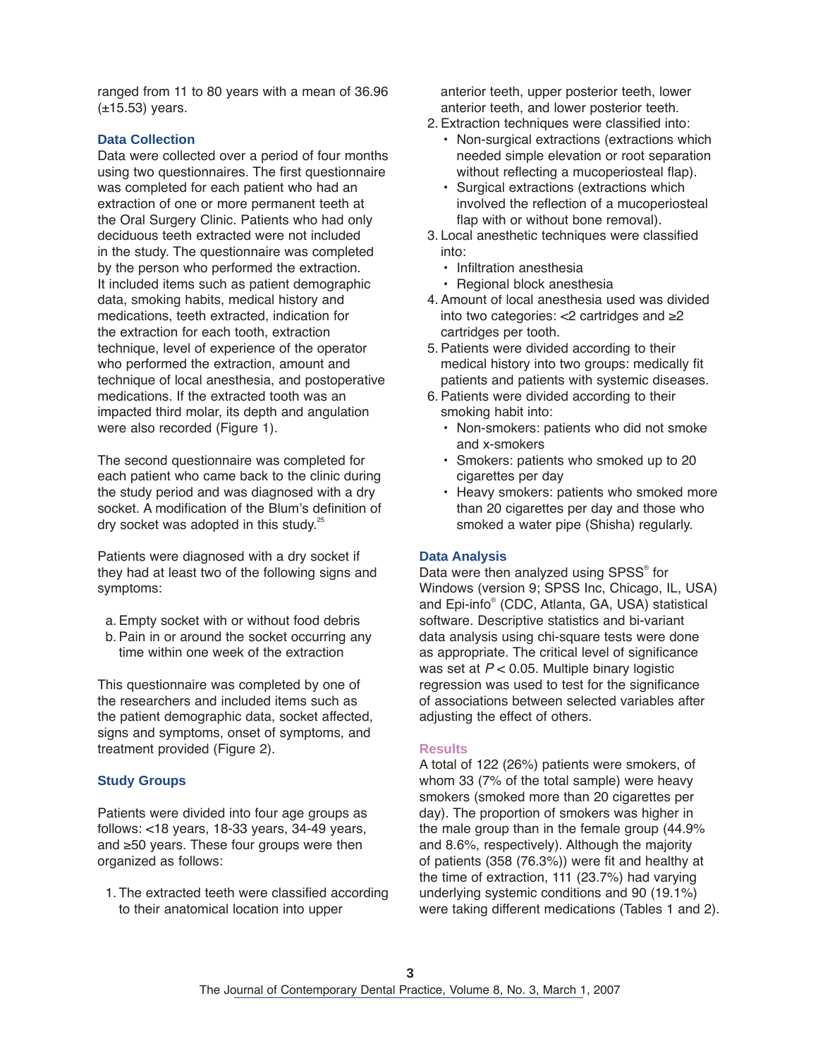ranged from 11 to 80 years with a mean of 36.96  $(\pm 15.53)$  years.

## **Data Collection**

Data were collected over a period of four months using two questionnaires. The first questionnaire was completed for each patient who had an extraction of one or more permanent teeth at the Oral Surgery Clinic. Patients who had only deciduous teeth extracted were not included in the study. The questionnaire was completed by the person who performed the extraction. It included items such as patient demographic data, smoking habits, medical history and medications, teeth extracted, indication for the extraction for each tooth, extraction technique, level of experience of the operator who performed the extraction, amount and technique of local anesthesia, and postoperative medications. If the extracted tooth was an impacted third molar, its depth and angulation were also recorded (Figure 1).

The second questionnaire was completed for each patient who came back to the clinic during the study period and was diagnosed with a dry socket. A modification of the Blum's definition of dry socket was adopted in this study.<sup>25</sup>

Patients were diagnosed with a dry socket if they had at least two of the following signs and symptoms:

- a. Empty socket with or without food debris
- b. Pain in or around the socket occurring any time within one week of the extraction

This questionnaire was completed by one of the researchers and included items such as the patient demographic data, socket affected, signs and symptoms, onset of symptoms, and treatment provided (Figure 2).

## **Study Groups**

Patients were divided into four age groups as follows: <18 years, 18-33 years, 34-49 years, and ≥50 years. These four groups were then organized as follows:

1. The extracted teeth were classified according to their anatomical location into upper

anterior teeth, upper posterior teeth, lower anterior teeth, and lower posterior teeth.

- 2. Extraction techniques were classified into:
	- Non-surgical extractions (extractions which needed simple elevation or root separation without reflecting a mucoperiosteal flap).
	- Surgical extractions (extractions which involved the reflection of a mucoperiosteal flap with or without bone removal).
- 3. Local anesthetic techniques were classified into:
	- Infiltration anesthesia
	- Regional block anesthesia
- 4. Amount of local anesthesia used was divided into two categories: <2 cartridges and ≥2 cartridges per tooth.
- 5. Patients were divided according to their medical history into two groups: medically fit patients and patients with systemic diseases.
- 6. Patients were divided according to their smoking habit into:
	- Non-smokers: patients who did not smoke and x-smokers
	- Smokers: patients who smoked up to 20 cigarettes per day
	- Heavy smokers: patients who smoked more than 20 cigarettes per day and those who smoked a water pipe (Shisha) regularly.

## **Data Analysis**

Data were then analyzed using SPSS® for Windows (version 9; SPSS Inc, Chicago, IL, USA) and Epi-info<sup>®</sup> (CDC, Atlanta, GA, USA) statistical software. Descriptive statistics and bi-variant data analysis using chi-square tests were done as appropriate. The critical level of significance was set at  $P < 0.05$ . Multiple binary logistic regression was used to test for the significance of associations between selected variables after adjusting the effect of others.

# **Results**

A total of 122 (26%) patients were smokers, of whom 33 (7% of the total sample) were heavy smokers (smoked more than 20 cigarettes per day). The proportion of smokers was higher in the male group than in the female group (44.9% and 8.6%, respectively). Although the majority of patients (358 (76.3%)) were fit and healthy at the time of extraction, 111 (23.7%) had varying underlying systemic conditions and 90 (19.1%) were taking different medications (Tables 1 and 2).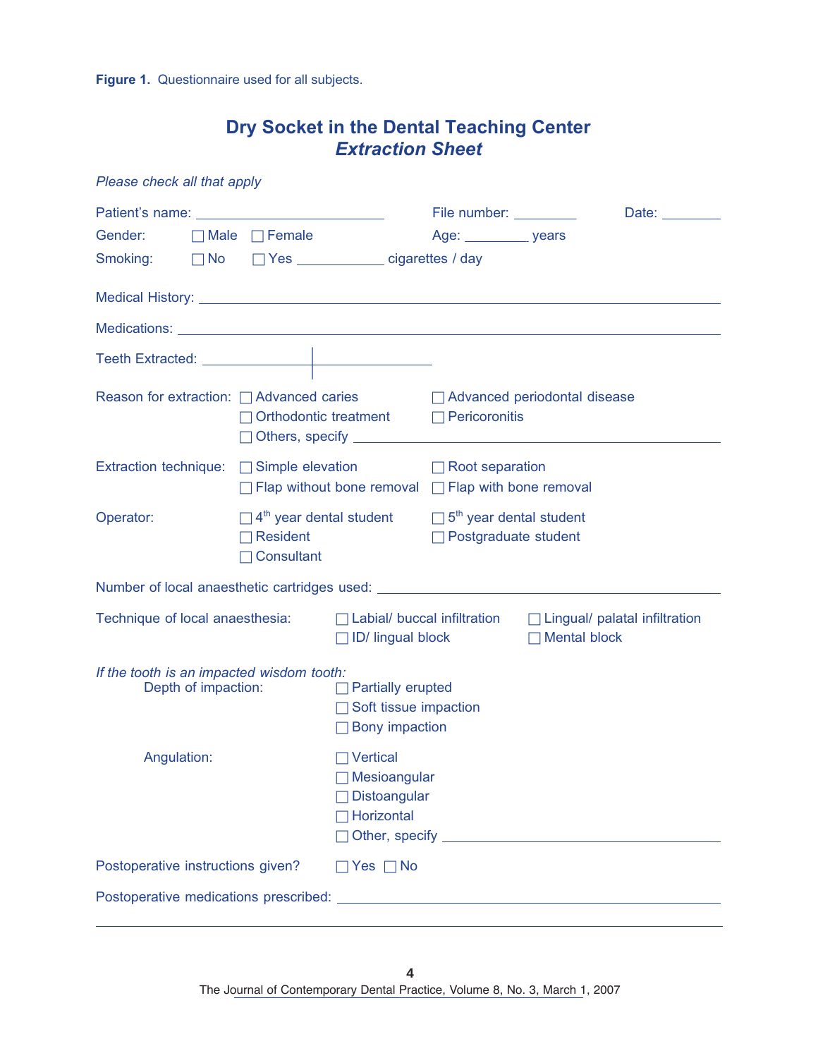Figure 1. Questionnaire used for all subjects.

| Dry Socket in the Dental Teaching Center<br><b>Extraction Sheet</b>                                |                                                                                                                               |                                                                                                               |                             |                                                                                                                                                                                                                               |  |  |
|----------------------------------------------------------------------------------------------------|-------------------------------------------------------------------------------------------------------------------------------|---------------------------------------------------------------------------------------------------------------|-----------------------------|-------------------------------------------------------------------------------------------------------------------------------------------------------------------------------------------------------------------------------|--|--|
| Please check all that apply                                                                        |                                                                                                                               |                                                                                                               |                             |                                                                                                                                                                                                                               |  |  |
|                                                                                                    |                                                                                                                               | File number:                                                                                                  |                             | Date: the part of the part of the part of the part of the part of the part of the part of the part of the part of the part of the part of the part of the part of the part of the part of the part of the part of the part of |  |  |
| Gender:<br>$\Box$ Male $\Box$ Female                                                               |                                                                                                                               | Age: ____________ years                                                                                       |                             |                                                                                                                                                                                                                               |  |  |
| Smoking:                                                                                           |                                                                                                                               | □ No □ Yes <u>cigarettes</u> / day                                                                            |                             |                                                                                                                                                                                                                               |  |  |
|                                                                                                    |                                                                                                                               |                                                                                                               |                             |                                                                                                                                                                                                                               |  |  |
|                                                                                                    |                                                                                                                               |                                                                                                               |                             |                                                                                                                                                                                                                               |  |  |
|                                                                                                    |                                                                                                                               |                                                                                                               |                             |                                                                                                                                                                                                                               |  |  |
| Reason for extraction: $\Box$ Advanced caries<br>$\Box$ Orthodontic treatment $\Box$ Pericoronitis |                                                                                                                               |                                                                                                               |                             | □ Advanced periodontal disease                                                                                                                                                                                                |  |  |
|                                                                                                    | Extraction technique: □ Simple elevation<br>$\Box$ Flap without bone removal $\Box$ Flap with bone removal                    |                                                                                                               | ■ Root separation           |                                                                                                                                                                                                                               |  |  |
| Operator:                                                                                          | $\Box$ 4 <sup>th</sup> year dental student $\Box$ 5 <sup>th</sup> year dental student<br>$\Box$ Resident<br>$\Box$ Consultant |                                                                                                               | $\Box$ Postgraduate student |                                                                                                                                                                                                                               |  |  |
| Number of local anaesthetic cartridges used: ___________________________________                   |                                                                                                                               |                                                                                                               |                             |                                                                                                                                                                                                                               |  |  |
| Technique of local anaesthesia:                                                                    |                                                                                                                               | $\Box$ Labial/ buccal infiltration $\Box$ Lingual/ palatal infiltration<br>□ ID/ lingual block □ Mental block |                             |                                                                                                                                                                                                                               |  |  |
| If the tooth is an impacted wisdom tooth:<br>Depth of impaction:                                   |                                                                                                                               | $\Box$ Partially erupted<br>$\Box$ Soft tissue impaction<br>$\Box$ Bony impaction                             |                             |                                                                                                                                                                                                                               |  |  |
| Angulation:                                                                                        |                                                                                                                               | Vertical<br>Mesioangular<br>Distoangular<br>□ Horizontal                                                      |                             |                                                                                                                                                                                                                               |  |  |
| Postoperative instructions given?                                                                  |                                                                                                                               | $\Box$ Yes $\Box$ No                                                                                          |                             |                                                                                                                                                                                                                               |  |  |
|                                                                                                    |                                                                                                                               |                                                                                                               |                             |                                                                                                                                                                                                                               |  |  |

**Dry Socket in the Dental Teaching Center**

**4**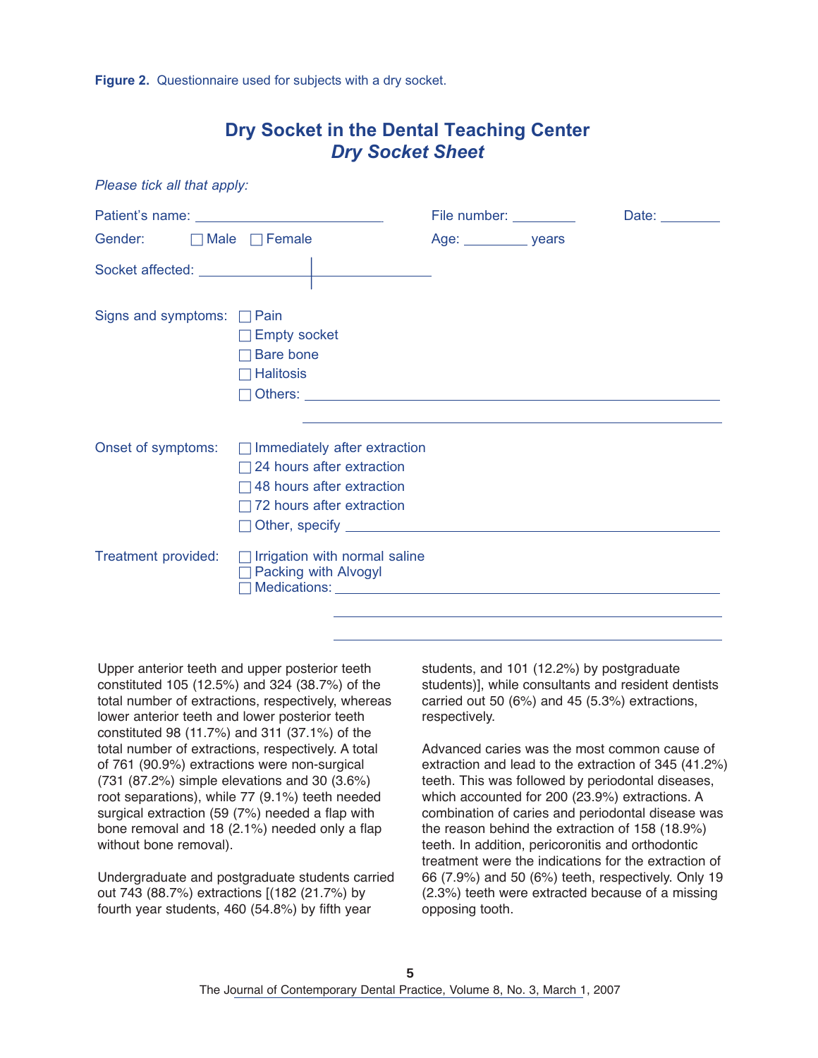Figure 2. Questionnaire used for subjects with a dry socket.

| Please tick all that apply:     |                                                                                                                                                                                                                                                                                                                                                                                                       |                        |                       |
|---------------------------------|-------------------------------------------------------------------------------------------------------------------------------------------------------------------------------------------------------------------------------------------------------------------------------------------------------------------------------------------------------------------------------------------------------|------------------------|-----------------------|
|                                 |                                                                                                                                                                                                                                                                                                                                                                                                       | File number: _________ | Date: <u>________</u> |
| Gender:                         | $\Box$ Male $\Box$ Female                                                                                                                                                                                                                                                                                                                                                                             |                        |                       |
|                                 |                                                                                                                                                                                                                                                                                                                                                                                                       |                        |                       |
| Signs and symptoms: $\Box$ Pain | <b>Empty socket</b><br><b>Bare bone</b><br>$\Box$ Halitosis                                                                                                                                                                                                                                                                                                                                           |                        |                       |
|                                 | Onset of symptoms: □ Immediately after extraction<br>$\Box$ 24 hours after extraction<br>$\Box$ 48 hours after extraction<br>$\Box$ 72 hours after extraction<br>Other, specify <u>contained a set of the set of the set of the set of the set of the set of the set of the set of the set of the set of the set of the set of the set of the set of the set of the set of the set of the set of </u> |                        |                       |
| Treatment provided:             | $\Box$ Irrigation with normal saline<br>□ Packing with Alvogyl                                                                                                                                                                                                                                                                                                                                        |                        |                       |

**Dry Socket in the Dental Teaching Center** *Dry Socket Sheet*

Upper anterior teeth and upper posterior teeth constituted 105 (12.5%) and 324 (38.7%) of the total number of extractions, respectively, whereas lower anterior teeth and lower posterior teeth constituted 98 (11.7%) and 311 (37.1%) of the total number of extractions, respectively. A total of 761 (90.9%) extractions were non-surgical (731 (87.2%) simple elevations and 30 (3.6%) root separations), while 77 (9.1%) teeth needed surgical extraction (59 (7%) needed a flap with bone removal and 18 (2.1%) needed only a flap without bone removal).

an anns

Undergraduate and postgraduate students carried out 743 (88.7%) extractions [(182 (21.7%) by fourth year students, 460 (54.8%) by fifth year

students, and 101 (12.2%) by postgraduate students)], while consultants and resident dentists carried out 50 (6%) and 45 (5.3%) extractions, respectively.

Advanced caries was the most common cause of extraction and lead to the extraction of 345 (41.2%) teeth. This was followed by periodontal diseases, which accounted for 200 (23.9%) extractions. A combination of caries and periodontal disease was the reason behind the extraction of 158 (18.9%) teeth. In addition, pericoronitis and orthodontic treatment were the indications for the extraction of 66 (7.9%) and 50 (6%) teeth, respectively. Only 19 (2.3%) teeth were extracted because of a missing opposing tooth.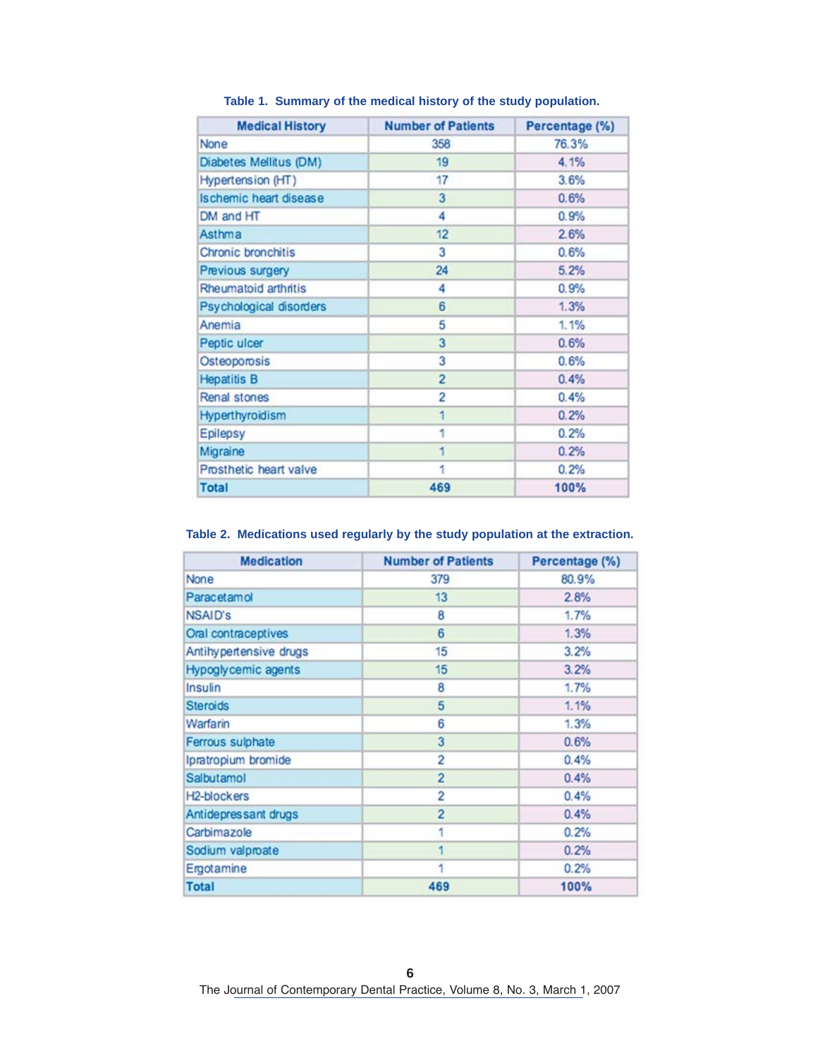| <b>Medical History</b>  | <b>Number of Patients</b> | Percentage (%) |
|-------------------------|---------------------------|----------------|
| None                    | 358                       | 76.3%          |
| Diabetes Mellitus (DM)  | 19                        | 4.1%           |
| Hypertension (HT)       | 17                        | 3.6%           |
| Ischemic heart disease  | 3                         | 0.6%           |
| DM and HT               | 4                         | 0.9%           |
| Asthma                  | 12                        | 2.6%           |
| Chronic bronchitis      | 3                         | 0.6%           |
| Previous surgery        | 24                        | 5.2%           |
| Rheumatoid arthritis    | 4                         | 0.9%           |
| Psychological disorders | 6                         | 1.3%           |
| Anemia                  | 5                         | 1.1%           |
| Peptic ulcer            | 3                         | 0.6%           |
| Osteoporosis            | 3                         | 0.6%           |
| <b>Hepatitis B</b>      | $\overline{c}$            | 0.4%           |
| Renal stones            | 2                         | 0.4%           |
| Hyperthyroidism         | 1                         | 0.2%           |
| Epilepsy                | 1                         | 0.2%           |
| Migraine                | ٦                         | 0.2%           |
| Prosthetic heart valve  | 1                         | 0.2%           |
| Total                   | 469                       | 100%           |

# **Table 1. Summary of the medical history of the study population.**

**Table 2. Medications used regularly by the study population at the extraction.**

| <b>Medication</b>       | <b>Number of Patients</b> | Percentage (%) |
|-------------------------|---------------------------|----------------|
| None                    | 379                       | 80.9%          |
| Paracetamol             | 13                        | 2.8%           |
| <b>NSAID's</b>          | 8                         | 1.7%           |
| Oral contraceptives     | 6                         | 1.3%           |
| Antihy pertensive drugs | 15                        | 3.2%           |
| Hypoglycemic agents     | 15                        | 3.2%           |
| Insulin                 | 8                         | 1.7%           |
| <b>Steroids</b>         | 5                         | 1.1%           |
| Warfarin                | 6                         | 1.3%           |
| Ferrous sulphate        | 3                         | 0.6%           |
| Ipratropium bromide     | 2                         | 0.4%           |
| Salbutamol              | $\overline{2}$            | 0.4%           |
| H2-blockers             | 2                         | 0.4%           |
| Antidepressant drugs    | $\overline{2}$            | 0.4%           |
| Carbimazole             | 1                         | 0.2%           |
| Sodium valproate        | ٦                         | 0.2%           |
| Ergotamine              | ۹                         | 0.2%           |
| <b>Total</b>            | 469                       | 100%           |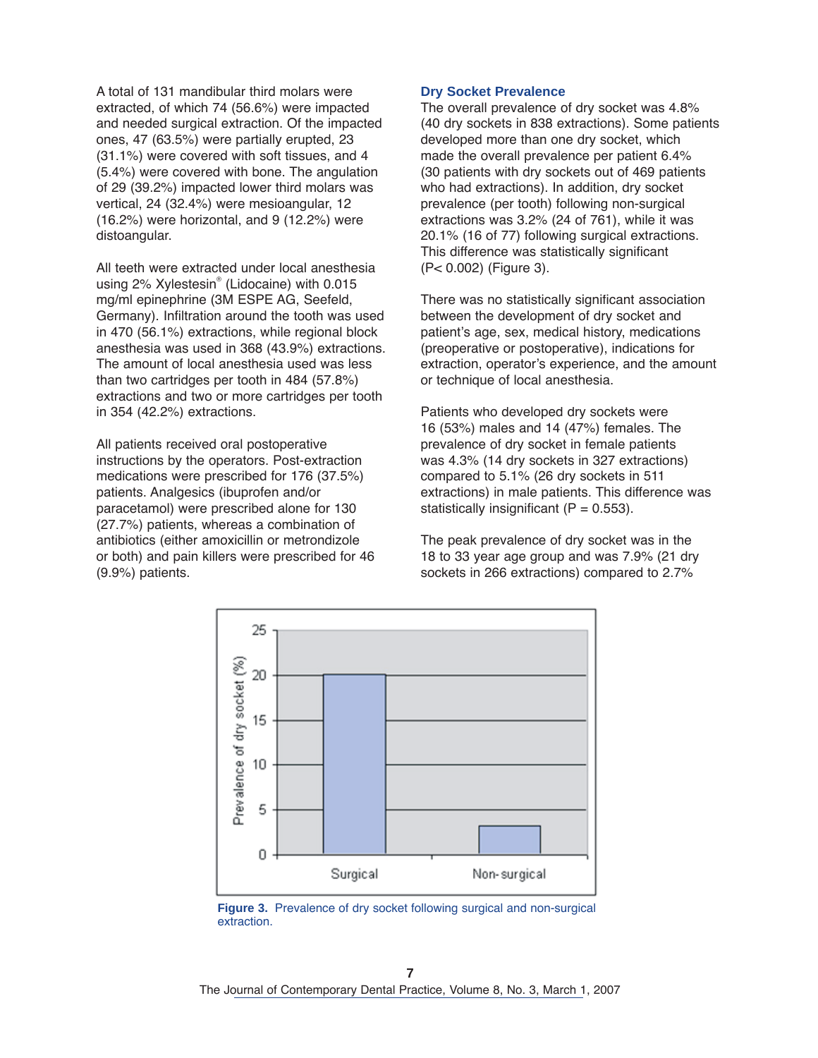A total of 131 mandibular third molars were extracted, of which 74 (56.6%) were impacted and needed surgical extraction. Of the impacted ones, 47 (63.5%) were partially erupted, 23 (31.1%) were covered with soft tissues, and 4 (5.4%) were covered with bone. The angulation of 29 (39.2%) impacted lower third molars was vertical, 24 (32.4%) were mesioangular, 12  $(16.2%)$  were horizontal, and 9  $(12.2%)$  were distoangular.

All teeth were extracted under local anesthesia using  $2\%$  Xylestesin<sup>®</sup> (Lidocaine) with 0.015 mg/ml epinephrine (3M ESPE AG, Seefeld, Germany). Infiltration around the tooth was used in 470 (56.1%) extractions, while regional block anesthesia was used in 368 (43.9%) extractions. The amount of local anesthesia used was less than two cartridges per tooth in 484 (57.8%) extractions and two or more cartridges per tooth in 354 (42.2%) extractions.

All patients received oral postoperative instructions by the operators. Post-extraction medications were prescribed for 176 (37.5%) patients. Analgesics (ibuprofen and/or paracetamol) were prescribed alone for 130 (27.7%) patients, whereas a combination of antibiotics (either amoxicillin or metrondizole or both) and pain killers were prescribed for 46 (9.9%) patients.

## **Dry Socket Prevalence**

The overall prevalence of dry socket was 4.8% (40 dry sockets in 838 extractions). Some patients developed more than one dry socket, which made the overall prevalence per patient 6.4% (30 patients with dry sockets out of 469 patients who had extractions). In addition, dry socket prevalence (per tooth) following non-surgical extractions was 3.2% (24 of 761), while it was 20.1% (16 of 77) following surgical extractions. This difference was statistically significant (P< 0.002) (Figure 3).

There was no statistically significant association between the development of dry socket and patient's age, sex, medical history, medications (preoperative or postoperative), indications for extraction, operator's experience, and the amount or technique of local anesthesia.

Patients who developed dry sockets were 16 (53%) males and 14 (47%) females. The prevalence of dry socket in female patients was 4.3% (14 dry sockets in 327 extractions) compared to 5.1% (26 dry sockets in 511 extractions) in male patients. This difference was statistically insignificant  $(P = 0.553)$ .

The peak prevalence of dry socket was in the 18 to 33 year age group and was 7.9% (21 dry sockets in 266 extractions) compared to 2.7%



**Figure 3.** Prevalence of dry socket following surgical and non-surgical extraction.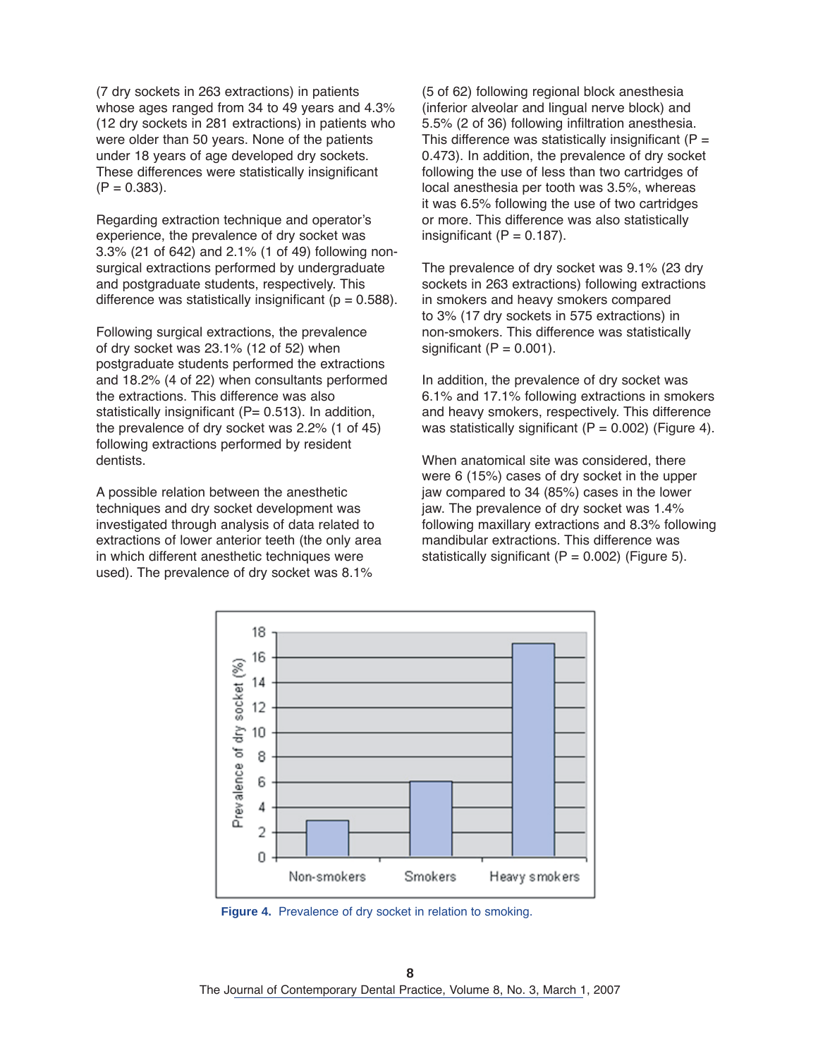(7 dry sockets in 263 extractions) in patients whose ages ranged from 34 to 49 years and 4.3% (12 dry sockets in 281 extractions) in patients who were older than 50 years. None of the patients under 18 years of age developed dry sockets. These differences were statistically insignificant  $(P = 0.383)$ .

Regarding extraction technique and operator's experience, the prevalence of dry socket was 3.3% (21 of 642) and 2.1% (1 of 49) following nonsurgical extractions performed by undergraduate and postgraduate students, respectively. This difference was statistically insignificant ( $p = 0.588$ ).

Following surgical extractions, the prevalence of dry socket was 23.1% (12 of 52) when postgraduate students performed the extractions and 18.2% (4 of 22) when consultants performed the extractions. This difference was also statistically insignificant ( $P= 0.513$ ). In addition, the prevalence of dry socket was 2.2% (1 of 45) following extractions performed by resident dentists.

A possible relation between the anesthetic techniques and dry socket development was investigated through analysis of data related to extractions of lower anterior teeth (the only area in which different anesthetic techniques were used). The prevalence of dry socket was 8.1%

(5 of 62) following regional block anesthesia (inferior alveolar and lingual nerve block) and 5.5% (2 of 36) following infiltration anesthesia. This difference was statistically insignificant ( $P =$ 0.473). In addition, the prevalence of dry socket following the use of less than two cartridges of local anesthesia per tooth was 3.5%, whereas it was 6.5% following the use of two cartridges or more. This difference was also statistically insignificant  $(P = 0.187)$ .

The prevalence of dry socket was 9.1% (23 dry sockets in 263 extractions) following extractions in smokers and heavy smokers compared to 3% (17 dry sockets in 575 extractions) in non-smokers. This difference was statistically significant  $(P = 0.001)$ .

In addition, the prevalence of dry socket was 6.1% and 17.1% following extractions in smokers and heavy smokers, respectively. This difference was statistically significant ( $P = 0.002$ ) (Figure 4).

When anatomical site was considered, there were 6 (15%) cases of dry socket in the upper jaw compared to 34 (85%) cases in the lower jaw. The prevalence of dry socket was 1.4% following maxillary extractions and 8.3% following mandibular extractions. This difference was statistically significant  $(P = 0.002)$  (Figure 5).



**Figure 4.** Prevalence of dry socket in relation to smoking.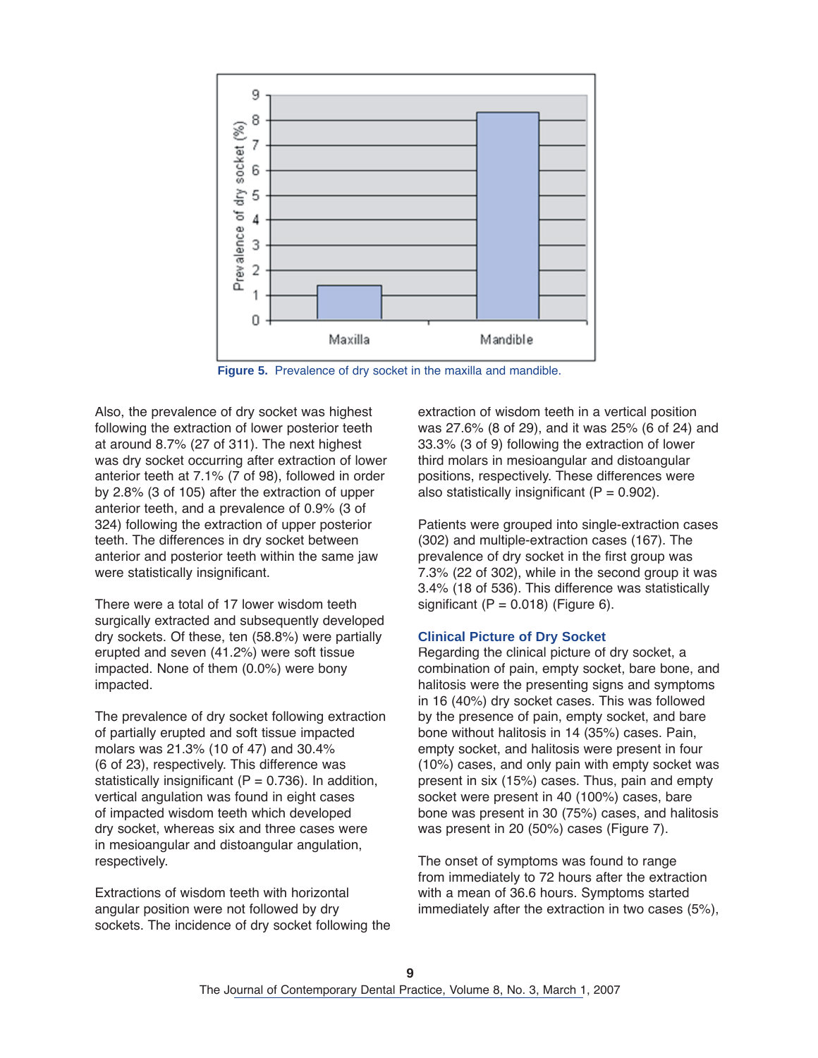

**Figure 5.** Prevalence of dry socket in the maxilla and mandible.

Also, the prevalence of dry socket was highest following the extraction of lower posterior teeth at around 8.7% (27 of 311). The next highest was dry socket occurring after extraction of lower anterior teeth at 7.1% (7 of 98), followed in order by 2.8% (3 of 105) after the extraction of upper anterior teeth, and a prevalence of 0.9% (3 of 324) following the extraction of upper posterior teeth. The differences in dry socket between anterior and posterior teeth within the same jaw were statistically insignificant.

There were a total of 17 lower wisdom teeth surgically extracted and subsequently developed dry sockets. Of these, ten (58.8%) were partially erupted and seven (41.2%) were soft tissue impacted. None of them (0.0%) were bony impacted.

The prevalence of dry socket following extraction of partially erupted and soft tissue impacted molars was 21.3% (10 of 47) and 30.4% (6 of 23), respectively. This difference was statistically insignificant ( $P = 0.736$ ). In addition, vertical angulation was found in eight cases of impacted wisdom teeth which developed dry socket, whereas six and three cases were in mesioangular and distoangular angulation, respectively.

Extractions of wisdom teeth with horizontal angular position were not followed by dry sockets. The incidence of dry socket following the extraction of wisdom teeth in a vertical position was 27.6% (8 of 29), and it was 25% (6 of 24) and 33.3% (3 of 9) following the extraction of lower third molars in mesioangular and distoangular positions, respectively. These differences were also statistically insignificant ( $P = 0.902$ ).

Patients were grouped into single-extraction cases (302) and multiple-extraction cases (167). The prevalence of dry socket in the first group was 7.3% (22 of 302), while in the second group it was 3.4% (18 of 536). This difference was statistically significant ( $P = 0.018$ ) (Figure 6).

#### **Clinical Picture of Dry Socket**

Regarding the clinical picture of dry socket, a combination of pain, empty socket, bare bone, and halitosis were the presenting signs and symptoms in 16 (40%) dry socket cases. This was followed by the presence of pain, empty socket, and bare bone without halitosis in 14 (35%) cases. Pain, empty socket, and halitosis were present in four (10%) cases, and only pain with empty socket was present in six (15%) cases. Thus, pain and empty socket were present in 40 (100%) cases, bare bone was present in 30 (75%) cases, and halitosis was present in 20 (50%) cases (Figure 7).

The onset of symptoms was found to range from immediately to 72 hours after the extraction with a mean of 36.6 hours. Symptoms started immediately after the extraction in two cases (5%),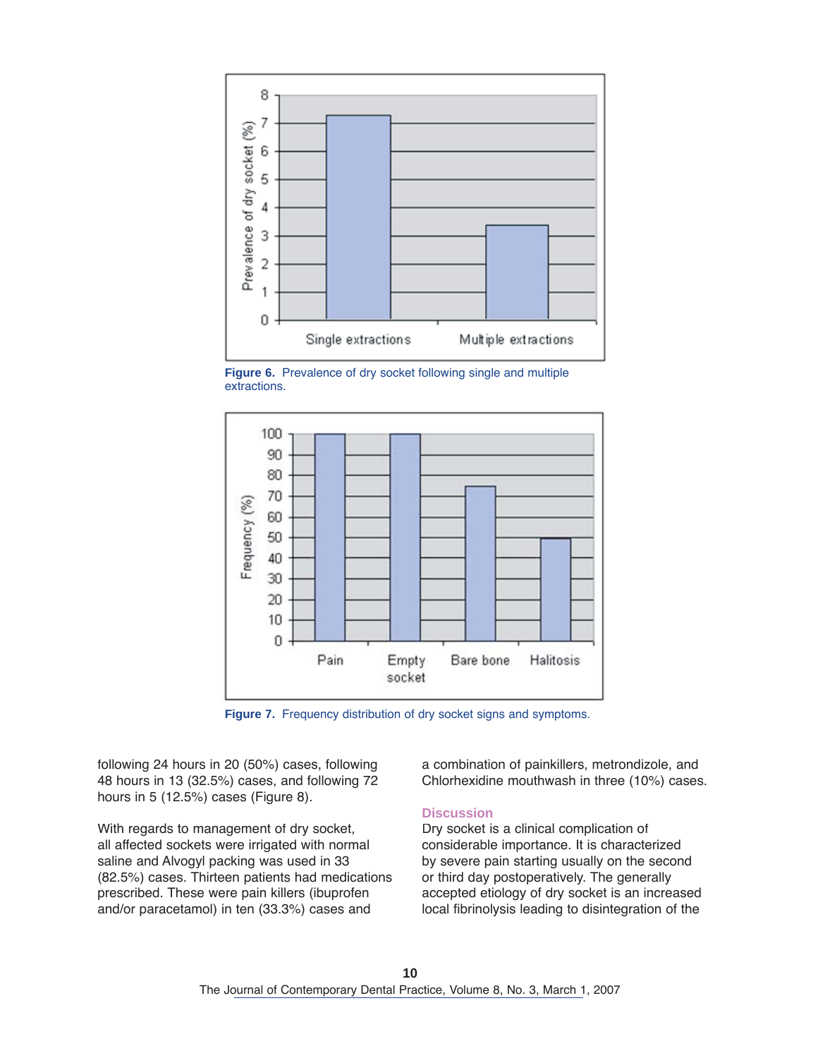

**Figure 6.** Prevalence of dry socket following single and multiple extractions.



**Figure 7.** Frequency distribution of dry socket signs and symptoms.

following 24 hours in 20 (50%) cases, following 48 hours in 13 (32.5%) cases, and following 72 hours in 5 (12.5%) cases (Figure 8).

With regards to management of dry socket, all affected sockets were irrigated with normal saline and Alvogyl packing was used in 33 (82.5%) cases. Thirteen patients had medications prescribed. These were pain killers (ibuprofen and/or paracetamol) in ten (33.3%) cases and

a combination of painkillers, metrondizole, and Chlorhexidine mouthwash in three (10%) cases.

#### **Discussion**

Dry socket is a clinical complication of considerable importance. It is characterized by severe pain starting usually on the second or third day postoperatively. The generally accepted etiology of dry socket is an increased local fibrinolysis leading to disintegration of the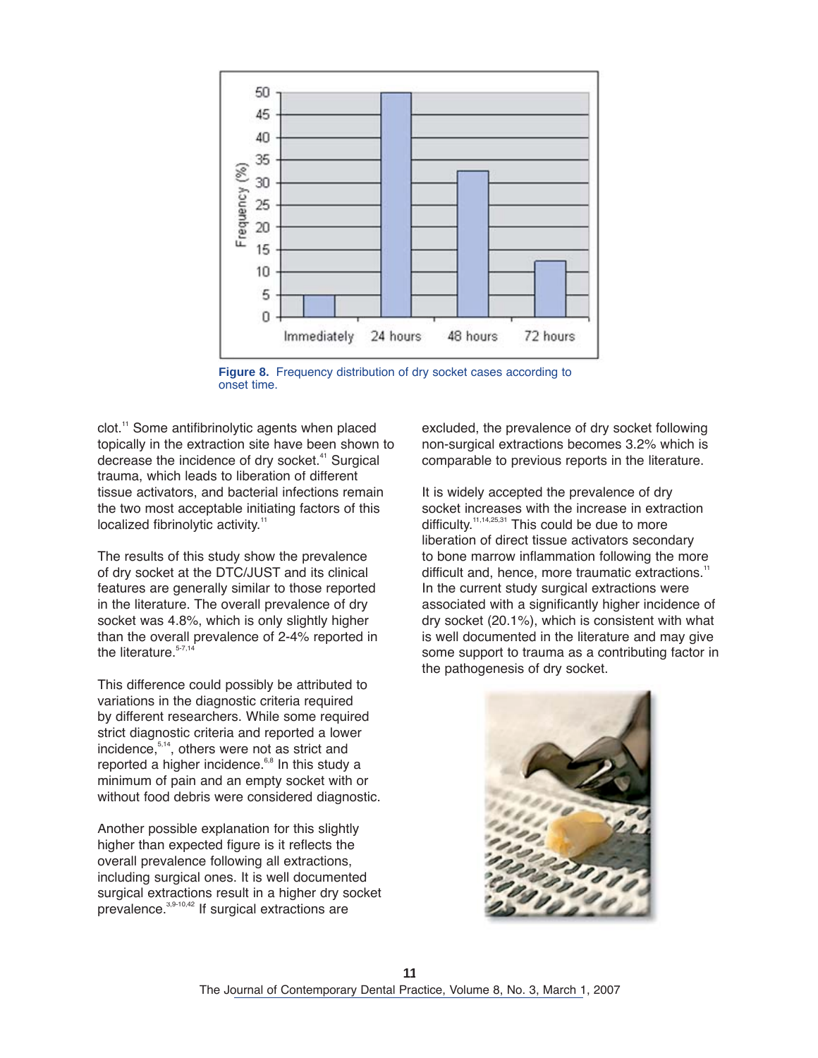

**Figure 8.** Frequency distribution of dry socket cases according to onset time.

clot. <sup>11</sup> Some antifibrinolytic agents when placed topically in the extraction site have been shown to decrease the incidence of dry socket. <sup>41</sup> Surgical trauma, which leads to liberation of different tissue activators, and bacterial infections remain the two most acceptable initiating factors of this localized fibrinolytic activity.<sup>11</sup>

The results of this study show the prevalence of dry socket at the DTC/JUST and its clinical features are generally similar to those reported in the literature. The overall prevalence of dry socket was 4.8%, which is only slightly higher than the overall prevalence of 2-4% reported in the literature.<sup>5-7,14</sup>

This difference could possibly be attributed to variations in the diagnostic criteria required by different researchers. While some required strict diagnostic criteria and reported a lower incidence, 5,14 , others were not as strict and reported a higher incidence.<sup>6,8</sup> In this study a minimum of pain and an empty socket with or without food debris were considered diagnostic.

Another possible explanation for this slightly higher than expected figure is it reflects the overall prevalence following all extractions, including surgical ones. It is well documented surgical extractions result in a higher dry socket prevalence. 3,9-10,42 If surgical extractions are

excluded, the prevalence of dry socket following non-surgical extractions becomes 3.2% which is comparable to previous reports in the literature.

It is widely accepted the prevalence of dry socket increases with the increase in extraction difficulty.<sup>11,14,25,31</sup> This could be due to more liberation of direct tissue activators secondary to bone marrow inflammation following the more difficult and, hence, more traumatic extractions.<sup>11</sup> In the current study surgical extractions were associated with a significantly higher incidence of dry socket (20.1%), which is consistent with what is well documented in the literature and may give some support to trauma as a contributing factor in the pathogenesis of dry socket.

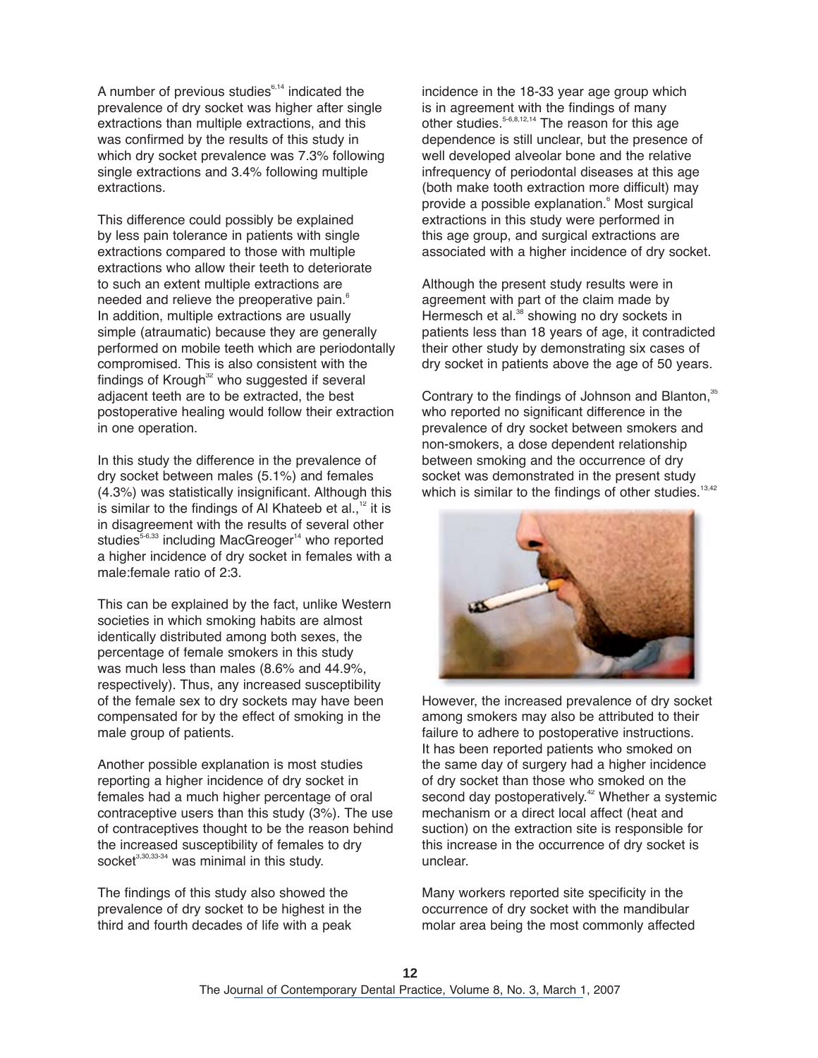A number of previous studies $6,14$  indicated the prevalence of dry socket was higher after single extractions than multiple extractions, and this was confirmed by the results of this study in which dry socket prevalence was 7.3% following single extractions and 3.4% following multiple extractions.

This difference could possibly be explained by less pain tolerance in patients with single extractions compared to those with multiple extractions who allow their teeth to deteriorate to such an extent multiple extractions are needed and relieve the preoperative pain. 6 In addition, multiple extractions are usually simple (atraumatic) because they are generally performed on mobile teeth which are periodontally compromised. This is also consistent with the findings of Krough $32$  who suggested if several adjacent teeth are to be extracted, the best postoperative healing would follow their extraction in one operation.

In this study the difference in the prevalence of dry socket between males (5.1%) and females (4.3%) was statistically insignificant. Although this is similar to the findings of Al Khateeb et al., $12$  it is in disagreement with the results of several other studies $5-6,33$  including MacGreoger<sup>14</sup> who reported a higher incidence of dry socket in females with a male:female ratio of 2:3.

This can be explained by the fact, unlike Western societies in which smoking habits are almost identically distributed among both sexes, the percentage of female smokers in this study was much less than males (8.6% and 44.9%, respectively). Thus, any increased susceptibility of the female sex to dry sockets may have been compensated for by the effect of smoking in the male group of patients.

Another possible explanation is most studies reporting a higher incidence of dry socket in females had a much higher percentage of oral contraceptive users than this study (3%). The use of contraceptives thought to be the reason behind the increased susceptibility of females to dry socket<sup>3,30,33-34</sup> was minimal in this study.

The findings of this study also showed the prevalence of dry socket to be highest in the third and fourth decades of life with a peak

incidence in the 18-33 year age group which is in agreement with the findings of many other studies.<sup>5-6,8,12,14</sup> The reason for this age dependence is still unclear, but the presence of well developed alveolar bone and the relative infrequency of periodontal diseases at this age (both make tooth extraction more difficult) may provide a possible explanation. <sup>6</sup> Most surgical extractions in this study were performed in this age group, and surgical extractions are associated with a higher incidence of dry socket.

Although the present study results were in agreement with part of the claim made by Hermesch et al.<sup>38</sup> showing no dry sockets in patients less than 18 years of age, it contradicted their other study by demonstrating six cases of dry socket in patients above the age of 50 years.

Contrary to the findings of Johnson and Blanton,<sup>35</sup> who reported no significant difference in the prevalence of dry socket between smokers and non-smokers, a dose dependent relationship between smoking and the occurrence of dry socket was demonstrated in the present study which is similar to the findings of other studies.<sup>13,42</sup>



However, the increased prevalence of dry socket among smokers may also be attributed to their failure to adhere to postoperative instructions. It has been reported patients who smoked on the same day of surgery had a higher incidence of dry socket than those who smoked on the second day postoperatively.<sup>42</sup> Whether a systemic mechanism or a direct local affect (heat and suction) on the extraction site is responsible for this increase in the occurrence of dry socket is unclear.

Many workers reported site specificity in the occurrence of dry socket with the mandibular molar area being the most commonly affected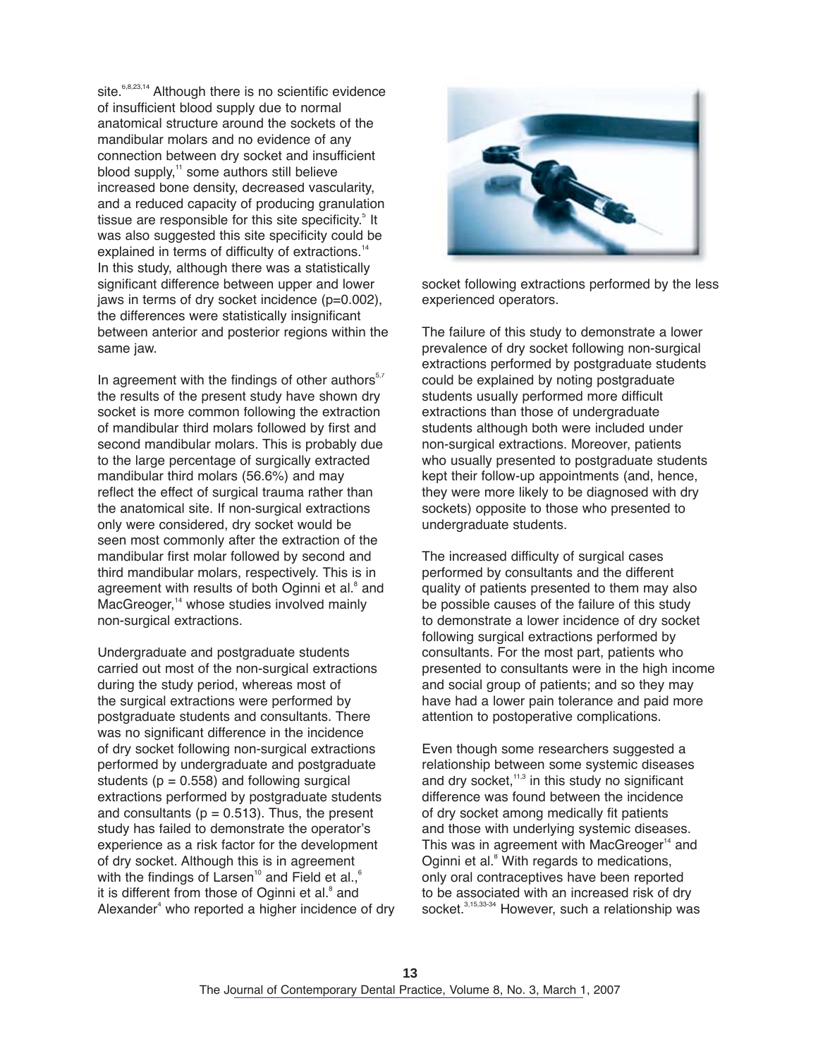site.<sup>6,8,23,14</sup> Although there is no scientific evidence of insufficient blood supply due to normal anatomical structure around the sockets of the mandibular molars and no evidence of any connection between dry socket and insufficient blood supply,<sup>11</sup> some authors still believe increased bone density, decreased vascularity, and a reduced capacity of producing granulation tissue are responsible for this site specificity.<sup>5</sup> It was also suggested this site specificity could be explained in terms of difficulty of extractions.<sup>14</sup> In this study, although there was a statistically significant difference between upper and lower jaws in terms of dry socket incidence (p=0.002), the differences were statistically insignificant between anterior and posterior regions within the same jaw.

In agreement with the findings of other authors $5,7$ the results of the present study have shown dry socket is more common following the extraction of mandibular third molars followed by first and second mandibular molars. This is probably due to the large percentage of surgically extracted mandibular third molars (56.6%) and may reflect the effect of surgical trauma rather than the anatomical site. If non-surgical extractions only were considered, dry socket would be seen most commonly after the extraction of the mandibular first molar followed by second and third mandibular molars, respectively. This is in agreement with results of both Oginni et al.<sup>8</sup> and MacGreoger, 14 whose studies involved mainly non-surgical extractions.

Undergraduate and postgraduate students carried out most of the non-surgical extractions during the study period, whereas most of the surgical extractions were performed by postgraduate students and consultants. There was no significant difference in the incidence of dry socket following non-surgical extractions performed by undergraduate and postgraduate students ( $p = 0.558$ ) and following surgical extractions performed by postgraduate students and consultants ( $p = 0.513$ ). Thus, the present study has failed to demonstrate the operator's experience as a risk factor for the development of dry socket. Although this is in agreement with the findings of Larsen $^{\text{\tiny{10}}}$  and Field et al., $^{\text{\tiny{6}}}$ it is different from those of Oginni et al.<sup>8</sup> and Alexander<sup>4</sup> who reported a higher incidence of dry



socket following extractions performed by the less experienced operators.

The failure of this study to demonstrate a lower prevalence of dry socket following non-surgical extractions performed by postgraduate students could be explained by noting postgraduate students usually performed more difficult extractions than those of undergraduate students although both were included under non-surgical extractions. Moreover, patients who usually presented to postgraduate students kept their follow-up appointments (and, hence, they were more likely to be diagnosed with dry sockets) opposite to those who presented to undergraduate students.

The increased difficulty of surgical cases performed by consultants and the different quality of patients presented to them may also be possible causes of the failure of this study to demonstrate a lower incidence of dry socket following surgical extractions performed by consultants. For the most part, patients who presented to consultants were in the high income and social group of patients; and so they may have had a lower pain tolerance and paid more attention to postoperative complications.

Even though some researchers suggested a relationship between some systemic diseases and dry socket,<sup>11,3</sup> in this study no significant difference was found between the incidence of dry socket among medically fit patients and those with underlying systemic diseases. This was in agreement with MacGreoger<sup>14</sup> and Oginni et al.<sup>8</sup> With regards to medications, only oral contraceptives have been reported to be associated with an increased risk of dry socket.<sup>3,15,33-34</sup> However, such a relationship was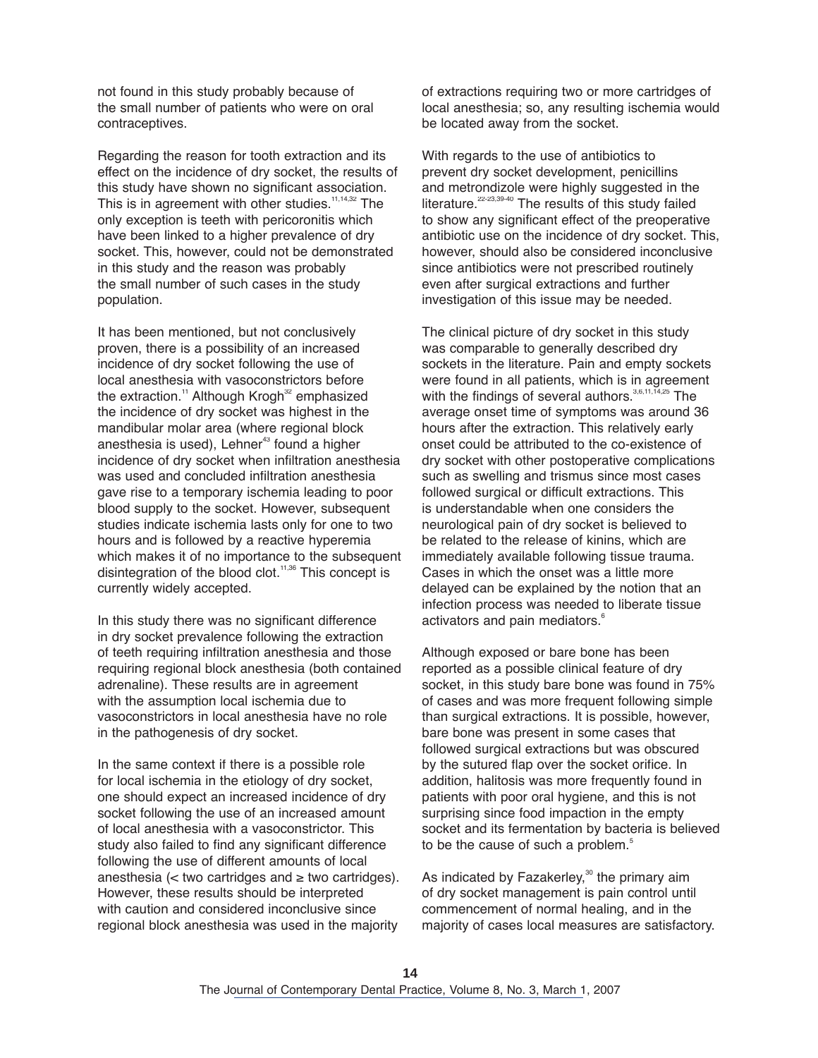not found in this study probably because of the small number of patients who were on oral contraceptives.

Regarding the reason for tooth extraction and its effect on the incidence of dry socket, the results of this study have shown no significant association. This is in agreement with other studies.<sup>11,14,32</sup> The only exception is teeth with pericoronitis which have been linked to a higher prevalence of dry socket. This, however, could not be demonstrated in this study and the reason was probably the small number of such cases in the study population.

It has been mentioned, but not conclusively proven, there is a possibility of an increased incidence of dry socket following the use of local anesthesia with vasoconstrictors before the extraction.<sup>11</sup> Although Krogh<sup>32</sup> emphasized the incidence of dry socket was highest in the mandibular molar area (where regional block anesthesia is used), Lehner<sup>43</sup> found a higher incidence of dry socket when infiltration anesthesia was used and concluded infiltration anesthesia gave rise to a temporary ischemia leading to poor blood supply to the socket. However, subsequent studies indicate ischemia lasts only for one to two hours and is followed by a reactive hyperemia which makes it of no importance to the subsequent disintegration of the blood clot.<sup>11,36</sup> This concept is currently widely accepted.

In this study there was no significant difference in dry socket prevalence following the extraction of teeth requiring infiltration anesthesia and those requiring regional block anesthesia (both contained adrenaline). These results are in agreement with the assumption local ischemia due to vasoconstrictors in local anesthesia have no role in the pathogenesis of dry socket.

In the same context if there is a possible role for local ischemia in the etiology of dry socket, one should expect an increased incidence of dry socket following the use of an increased amount of local anesthesia with a vasoconstrictor. This study also failed to find any significant difference following the use of different amounts of local anesthesia ( $lt$  two cartridges and  $\ge$  two cartridges). However, these results should be interpreted with caution and considered inconclusive since regional block anesthesia was used in the majority

of extractions requiring two or more cartridges of local anesthesia; so, any resulting ischemia would be located away from the socket.

With regards to the use of antibiotics to prevent dry socket development, penicillins and metrondizole were highly suggested in the literature.<sup>22-23,39-40</sup> The results of this study failed to show any significant effect of the preoperative antibiotic use on the incidence of dry socket. This, however, should also be considered inconclusive since antibiotics were not prescribed routinely even after surgical extractions and further investigation of this issue may be needed.

The clinical picture of dry socket in this study was comparable to generally described dry sockets in the literature. Pain and empty sockets were found in all patients, which is in agreement with the findings of several authors.<sup>3,6,11,14,25</sup> The average onset time of symptoms was around 36 hours after the extraction. This relatively early onset could be attributed to the co-existence of dry socket with other postoperative complications such as swelling and trismus since most cases followed surgical or difficult extractions. This is understandable when one considers the neurological pain of dry socket is believed to be related to the release of kinins, which are immediately available following tissue trauma. Cases in which the onset was a little more delayed can be explained by the notion that an infection process was needed to liberate tissue activators and pain mediators. 6

Although exposed or bare bone has been reported as a possible clinical feature of dry socket, in this study bare bone was found in 75% of cases and was more frequent following simple than surgical extractions. It is possible, however, bare bone was present in some cases that followed surgical extractions but was obscured by the sutured flap over the socket orifice. In addition, halitosis was more frequently found in patients with poor oral hygiene, and this is not surprising since food impaction in the empty socket and its fermentation by bacteria is believed to be the cause of such a problem.<sup>5</sup>

As indicated by Fazakerley, $30$  the primary aim of dry socket management is pain control until commencement of normal healing, and in the majority of cases local measures are satisfactory.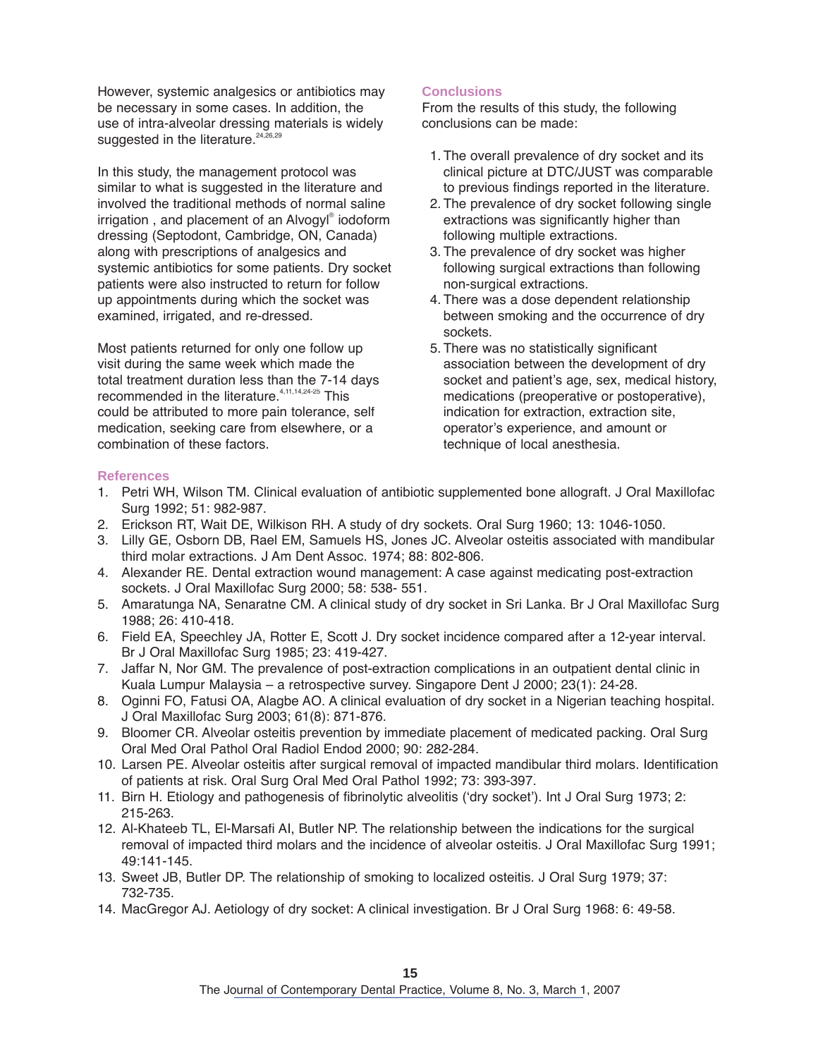However, systemic analgesics or antibiotics may be necessary in some cases. In addition, the use of intra-alveolar dressing materials is widely suggested in the literature.<sup>24,26,29</sup>

In this study, the management protocol was similar to what is suggested in the literature and involved the traditional methods of normal saline irrigation, and placement of an Alvogyl® iodoform dressing (Septodont, Cambridge, ON, Canada) along with prescriptions of analgesics and systemic antibiotics for some patients. Dry socket patients were also instructed to return for follow up appointments during which the socket was examined, irrigated, and re-dressed.

Most patients returned for only one follow up visit during the same week which made the total treatment duration less than the 7-14 days recommended in the literature.<sup>4,11,14,24-25</sup> This could be attributed to more pain tolerance, self medication, seeking care from elsewhere, or a combination of these factors.

# **Conclusions**

From the results of this study, the following conclusions can be made:

- 1. The overall prevalence of dry socket and its clinical picture at DTC/JUST was comparable to previous findings reported in the literature.
- 2. The prevalence of dry socket following single extractions was significantly higher than following multiple extractions.
- 3. The prevalence of dry socket was higher following surgical extractions than following non-surgical extractions.
- 4. There was a dose dependent relationship between smoking and the occurrence of dry sockets.
- 5. There was no statistically significant association between the development of dry socket and patient's age, sex, medical history, medications (preoperative or postoperative), indication for extraction, extraction site, operator's experience, and amount or technique of local anesthesia.

# **References**

- 1. Petri WH, Wilson TM. Clinical evaluation of antibiotic supplemented bone allograft. J Oral Maxillofac Surg 1992; 51: 982-987.
- 2. Erickson RT, Wait DE, Wilkison RH. A study of dry sockets. Oral Surg 1960; 13: 1046-1050.
- 3. Lilly GE, Osborn DB, Rael EM, Samuels HS, Jones JC. Alveolar osteitis associated with mandibular third molar extractions. J Am Dent Assoc. 1974; 88: 802-806.
- 4. Alexander RE. Dental extraction wound management: A case against medicating post-extraction sockets. J Oral Maxillofac Surg 2000; 58: 538- 551.
- 5. Amaratunga NA, Senaratne CM. A clinical study of dry socket in Sri Lanka. Br J Oral Maxillofac Surg 1988; 26: 410-418.
- 6. Field EA, Speechley JA, Rotter E, Scott J. Dry socket incidence compared after a 12-year interval. Br J Oral Maxillofac Surg 1985; 23: 419-427.
- 7. Jaffar N, Nor GM. The prevalence of post-extraction complications in an outpatient dental clinic in Kuala Lumpur Malaysia  $-$  a retrospective survey. Singapore Dent J 2000; 23(1): 24-28.
- 8. Oginni FO, Fatusi OA, Alagbe AO. A clinical evaluation of dry socket in a Nigerian teaching hospital. J Oral Maxillofac Surg 2003; 61(8): 871-876.
- 9. Bloomer CR. Alveolar osteitis prevention by immediate placement of medicated packing. Oral Surg Oral Med Oral Pathol Oral Radiol Endod 2000; 90: 282-284.
- 10. Larsen PE. Alveolar osteitis after surgical removal of impacted mandibular third molars. Identification of patients at risk. Oral Surg Oral Med Oral Pathol 1992; 73: 393-397.
- 11. Birn H. Etiology and pathogenesis of fibrinolytic alveolitis ('dry socket'). Int J Oral Surg 1973; 2: 215-263.
- 12. Al-Khateeb TL, El-Marsafi AI, Butler NP. The relationship between the indications for the surgical removal of impacted third molars and the incidence of alveolar osteitis. J Oral Maxillofac Surg 1991; 49:141-145.
- 13. Sweet JB, Butler DP. The relationship of smoking to localized osteitis. J Oral Surg 1979; 37: 732-735.
- 14. MacGregor AJ. Aetiology of dry socket: A clinical investigation. Br J Oral Surg 1968: 6: 49-58.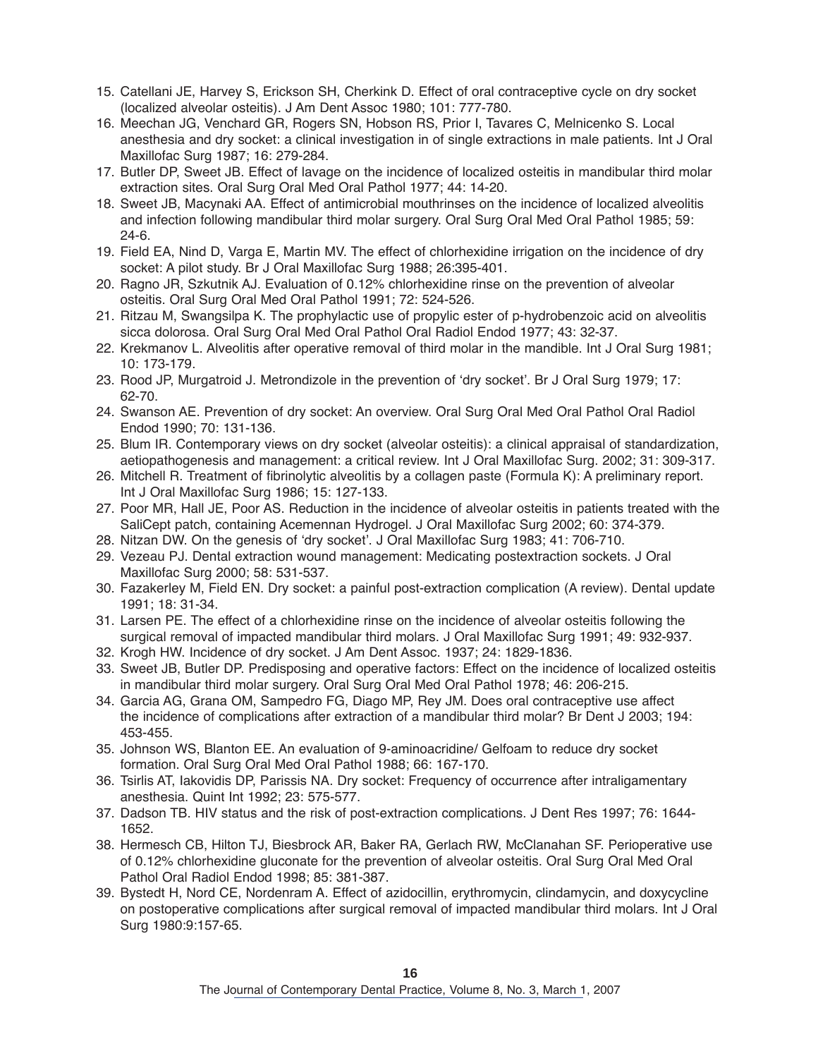- 15. Catellani JE, Harvey S, Erickson SH, Cherkink D. Effect of oral contraceptive cycle on dry socket (localized alveolar osteitis). J Am Dent Assoc 1980; 101: 777-780.
- 16. Meechan JG, Venchard GR, Rogers SN, Hobson RS, Prior I, Tavares C, Melnicenko S. Local anesthesia and dry socket: a clinical investigation in of single extractions in male patients. Int J Oral Maxillofac Surg 1987; 16: 279-284.
- 17. Butler DP, Sweet JB. Effect of lavage on the incidence of localized osteitis in mandibular third molar extraction sites. Oral Surg Oral Med Oral Pathol 1977; 44: 14-20.
- 18. Sweet JB, Macynaki AA. Effect of antimicrobial mouthrinses on the incidence of localized alveolitis and infection following mandibular third molar surgery. Oral Surg Oral Med Oral Pathol 1985; 59: 24-6.
- 19. Field EA, Nind D, Varga E, Martin MV. The effect of chlorhexidine irrigation on the incidence of dry socket: A pilot study. Br J Oral Maxillofac Surg 1988; 26:395-401.
- 20. Ragno JR, Szkutnik AJ. Evaluation of 0.12% chlorhexidine rinse on the prevention of alveolar osteitis. Oral Surg Oral Med Oral Pathol 1991; 72: 524-526.
- 21. Ritzau M, Swangsilpa K. The prophylactic use of propylic ester of p-hydrobenzoic acid on alveolitis sicca dolorosa. Oral Surg Oral Med Oral Pathol Oral Radiol Endod 1977; 43: 32-37.
- 22. Krekmanov L. Alveolitis after operative removal of third molar in the mandible. Int J Oral Surg 1981; 10: 173-179.
- 23. Rood JP, Murgatroid J. Metrondizole in the prevention of ëdry socketí. Br J Oral Surg 1979; 17: 62-70.
- 24. Swanson AE. Prevention of dry socket: An overview. Oral Surg Oral Med Oral Pathol Oral Radiol Endod 1990; 70: 131-136.
- 25. Blum IR. Contemporary views on dry socket (alveolar osteitis): a clinical appraisal of standardization, aetiopathogenesis and management: a critical review. Int J Oral Maxillofac Surg. 2002; 31: 309-317.
- 26. Mitchell R. Treatment of fibrinolytic alveolitis by a collagen paste (Formula K): A preliminary report. Int J Oral Maxillofac Surg 1986; 15: 127-133.
- 27. Poor MR, Hall JE, Poor AS. Reduction in the incidence of alveolar osteitis in patients treated with the SaliCept patch, containing Acemennan Hydrogel. J Oral Maxillofac Surg 2002; 60: 374-379.
- 28. Nitzan DW. On the genesis of 'dry socket'. J Oral Maxillofac Surg 1983; 41: 706-710.
- 29. Vezeau PJ. Dental extraction wound management: Medicating postextraction sockets. J Oral Maxillofac Surg 2000; 58: 531-537.
- 30. Fazakerley M, Field EN. Dry socket: a painful post-extraction complication (A review). Dental update 1991; 18: 31-34.
- 31. Larsen PE. The effect of a chlorhexidine rinse on the incidence of alveolar osteitis following the surgical removal of impacted mandibular third molars. J Oral Maxillofac Surg 1991; 49: 932-937.
- 32. Krogh HW. Incidence of dry socket. J Am Dent Assoc. 1937; 24: 1829-1836.
- 33. Sweet JB, Butler DP. Predisposing and operative factors: Effect on the incidence of localized osteitis in mandibular third molar surgery. Oral Surg Oral Med Oral Pathol 1978; 46: 206-215.
- 34. Garcia AG, Grana OM, Sampedro FG, Diago MP, Rey JM. Does oral contraceptive use affect the incidence of complications after extraction of a mandibular third molar? Br Dent J 2003; 194: 453-455.
- 35. Johnson WS, Blanton EE. An evaluation of 9-aminoacridine/ Gelfoam to reduce dry socket formation. Oral Surg Oral Med Oral Pathol 1988; 66: 167-170.
- 36. Tsirlis AT, Iakovidis DP, Parissis NA. Dry socket: Frequency of occurrence after intraligamentary anesthesia. Quint Int 1992; 23: 575-577.
- 37. Dadson TB. HIV status and the risk of post-extraction complications. J Dent Res 1997; 76: 1644- 1652.
- 38. Hermesch CB, Hilton TJ, Biesbrock AR, Baker RA, Gerlach RW, McClanahan SF. Perioperative use of 0.12% chlorhexidine gluconate for the prevention of alveolar osteitis. Oral Surg Oral Med Oral Pathol Oral Radiol Endod 1998; 85: 381-387.
- 39. Bystedt H, Nord CE, Nordenram A. Effect of azidocillin, erythromycin, clindamycin, and doxycycline on postoperative complications after surgical removal of impacted mandibular third molars. Int J Oral Surg 1980:9:157-65.